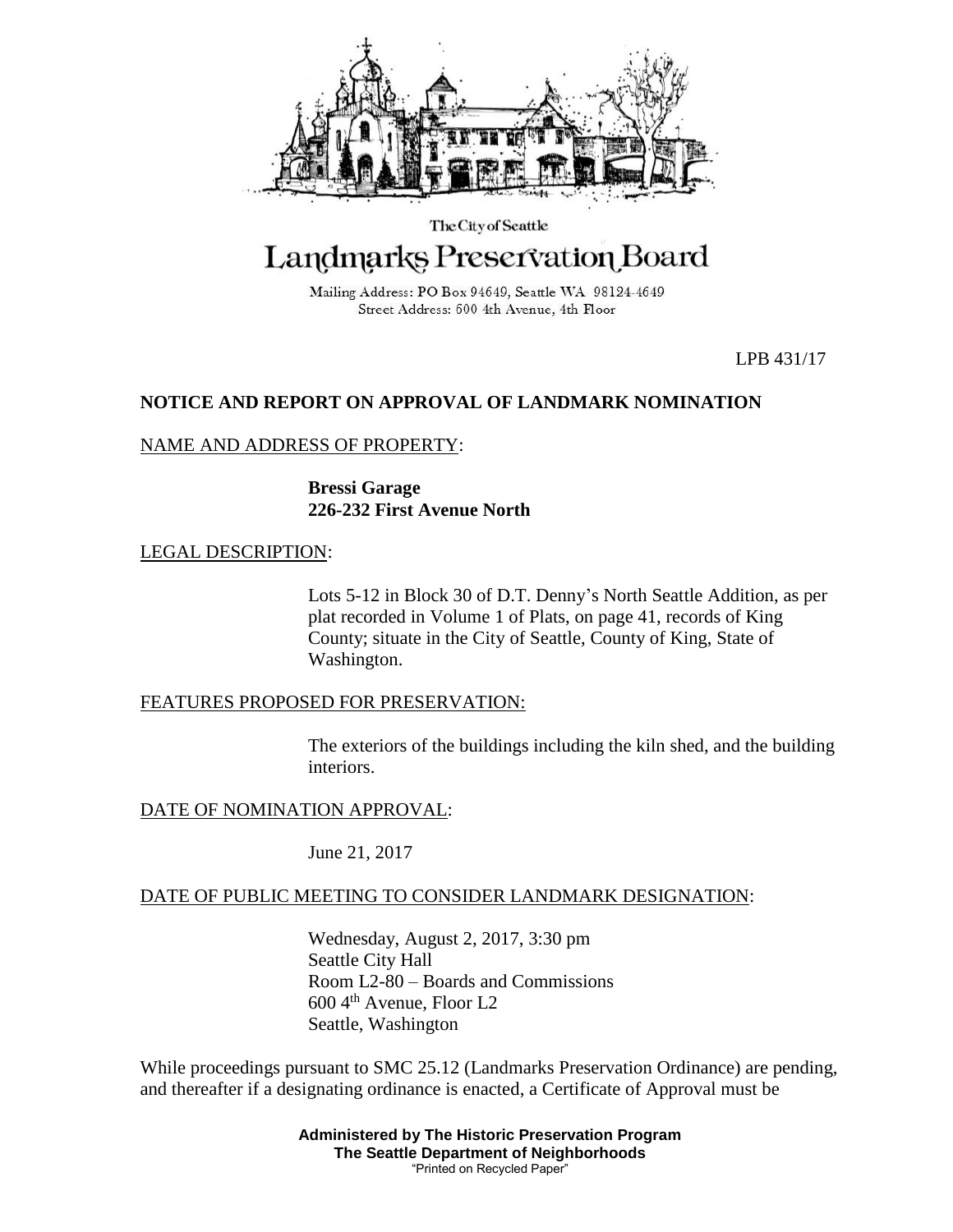

The City of Seattle

# Landmarks Preservation Board

Mailing Address: PO Box 94649, Seattle WA 98124-4649 Street Address: 600 4th Avenue, 4th Floor

LPB 431/17

# **NOTICE AND REPORT ON APPROVAL OF LANDMARK NOMINATION**

## NAME AND ADDRESS OF PROPERTY:

**Bressi Garage 226-232 First Avenue North**

## LEGAL DESCRIPTION:

Lots 5-12 in Block 30 of D.T. Denny's North Seattle Addition, as per plat recorded in Volume 1 of Plats, on page 41, records of King County; situate in the City of Seattle, County of King, State of Washington.

#### FEATURES PROPOSED FOR PRESERVATION:

The exteriors of the buildings including the kiln shed, and the building interiors.

DATE OF NOMINATION APPROVAL:

June 21, 2017

## DATE OF PUBLIC MEETING TO CONSIDER LANDMARK DESIGNATION:

Wednesday, August 2, 2017, 3:30 pm Seattle City Hall Room L2-80 – Boards and Commissions 600 4th Avenue, Floor L2 Seattle, Washington

While proceedings pursuant to SMC 25.12 (Landmarks Preservation Ordinance) are pending, and thereafter if a designating ordinance is enacted, a Certificate of Approval must be

> **Administered by The Historic Preservation Program The Seattle Department of Neighborhoods** "Printed on Recycled Paper"